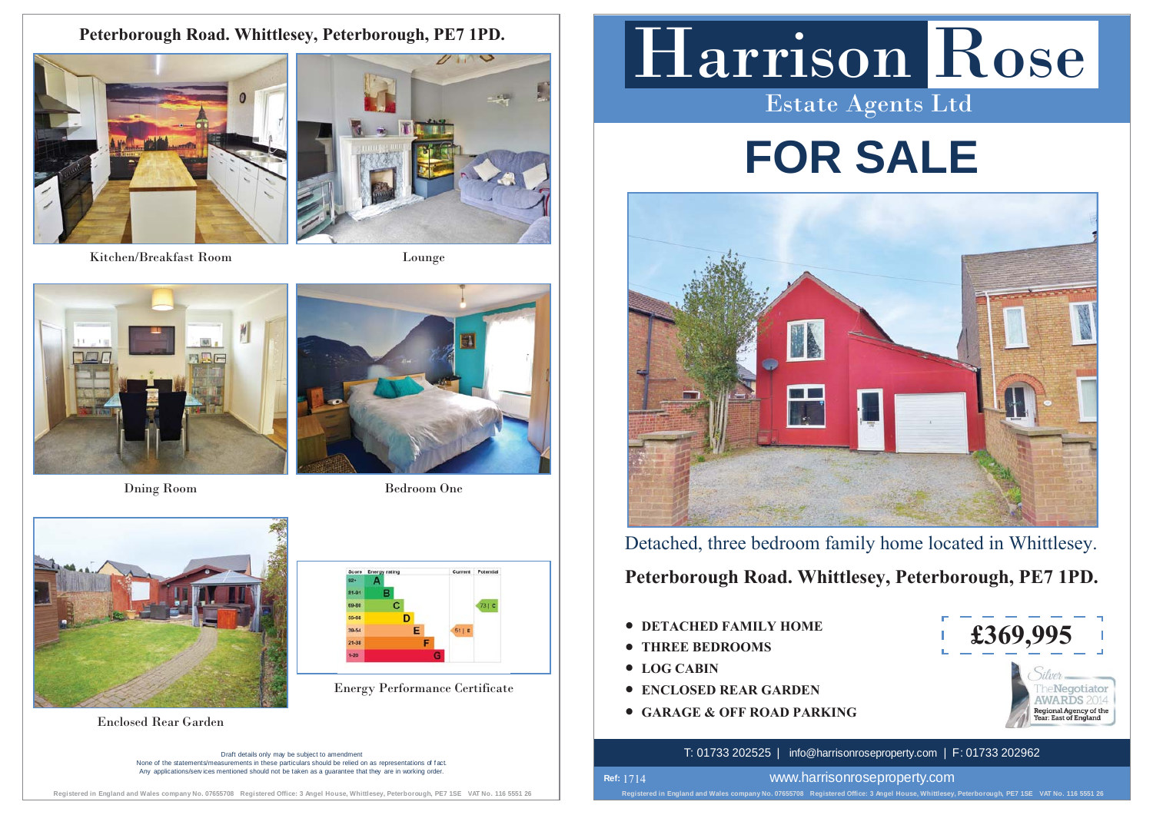**Peterborough Road. Whittlesey, Peterborough, PE7 1PD.**



Kitchen/Breakfast Room



Lounge





Dning Room Bedroom One



Enclosed Rear Garden New York Contract to the Contract of the Contract of the Contract of the Contract of the Contract of the Contract of the Contract of the Contract of the Contract of the Contract of the Contract of the

Draft details only may be subject to amendment None of the statements/measurements in these particulars should be relied on as representations of f act. Any applications/services mentioned should not be taken as a quarantee that they are in working order

## Harrison Rose Estate Agents Ltd

# **FOR SALE**



Detached, three bedroom family home located in Whittlesey.

**Peterborough Road. Whittlesey, Peterborough, PE7 1PD.**

- **DETACHED FAMILY HOME**
- **THREE BEDROOMS**
- **LOG CABIN**
- **Energy Performance Certificate**  $\qquad$  **CONCLOSED REAR GARDEN** 
	- t **GARAGE & OFF ROAD PARKING**



### T: 01733 202525 | info@harrisonroseproperty.com | F: 01733 202962

**Registered in England and Wales company No. 07655708 Registered Office: 3 Angel House, Whittlesey, Peterborough, PE7 1SE VAT No. 116 5551 26 Ref:**  1714